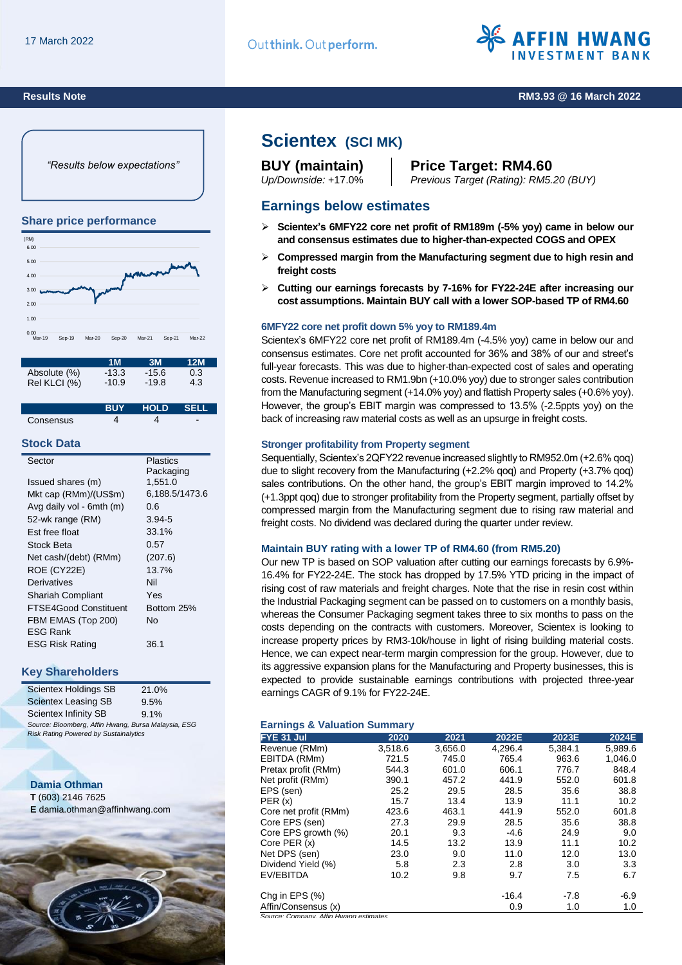

### **Results Note RM3.93 @ 16 March 2022**

*"Results below expectations"*

### **Share price performance**



|              | 1 M     | 3M      | 12M |  |
|--------------|---------|---------|-----|--|
| Absolute (%) | $-13.3$ | $-15.6$ | 0.3 |  |
| Rel KLCI (%) | $-10.9$ | $-19.8$ | 4.3 |  |

|           | <b>BUY</b> | N HOLD SELL |  |
|-----------|------------|-------------|--|
| Consensus |            |             |  |

#### **Stock Data**

| Sector                   | Plastics       |
|--------------------------|----------------|
|                          | Packaging      |
| Issued shares (m)        | 1,551.0        |
| Mkt cap (RMm)/(US\$m)    | 6,188.5/1473.6 |
| Avg daily vol - 6mth (m) | 0.6            |
| 52-wk range (RM)         | $3.94 - 5$     |
| Est free float           | 33.1%          |
| Stock Beta               | 0.57           |
| Net cash/(debt) (RMm)    | (207.6)        |
| ROE (CY22E)              | 13.7%          |
| Derivatives              | Nil            |
| <b>Shariah Compliant</b> | Yes            |
| FTSE4Good Constituent    | Bottom 25%     |
| FBM EMAS (Top 200)       | N٥             |
| FSG Rank                 |                |
| <b>ESG Risk Rating</b>   | 36.1           |
|                          |                |

## **Key Shareholders**

| <b>Scientex Holdings SB</b>                         | 21.0% |
|-----------------------------------------------------|-------|
| <b>Scientex Leasing SB</b>                          | 9.5%  |
| Scientex Infinity SB                                | 9.1%  |
| Source: Bloomberg, Affin Hwang, Bursa Malaysia, ESG |       |
| <b>Risk Rating Powered by Sustainalytics</b>        |       |

# **Damia Othman**

**T** (603) 2146 7625 **E** damia.othman@affinhwang.com



# **Scientex (SCI MK)**

# **BUY (maintain) Price Target: RM4.60**

*Up/Downside:* +17.0% *Previous Target (Rating): RM5.20 (BUY)*

# **Earnings below estimates**

- **Scientex's 6MFY22 core net profit of RM189m (-5% yoy) came in below our and consensus estimates due to higher-than-expected COGS and OPEX**
- **Compressed margin from the Manufacturing segment due to high resin and freight costs**
- **Cutting our earnings forecasts by 7-16% for FY22-24E after increasing our cost assumptions. Maintain BUY call with a lower SOP-based TP of RM4.60**

#### **6MFY22 core net profit down 5% yoy to RM189.4m**

Scientex's 6MFY22 core net profit of RM189.4m (-4.5% yoy) came in below our and consensus estimates. Core net profit accounted for 36% and 38% of our and street's full-year forecasts. This was due to higher-than-expected cost of sales and operating costs. Revenue increased to RM1.9bn (+10.0% yoy) due to stronger sales contribution from the Manufacturing segment (+14.0% yoy) and flattish Property sales (+0.6% yoy). However, the group's EBIT margin was compressed to 13.5% (-2.5ppts yoy) on the back of increasing raw material costs as well as an upsurge in freight costs.

#### **Stronger profitability from Property segment**

Sequentially, Scientex's 2QFY22 revenue increased slightly to RM952.0m (+2.6% qoq) due to slight recovery from the Manufacturing (+2.2% qoq) and Property (+3.7% qoq) sales contributions. On the other hand, the group's EBIT margin improved to 14.2% (+1.3ppt qoq) due to stronger profitability from the Property segment, partially offset by compressed margin from the Manufacturing segment due to rising raw material and freight costs. No dividend was declared during the quarter under review.

#### **Maintain BUY rating with a lower TP of RM4.60 (from RM5.20)**

Our new TP is based on SOP valuation after cutting our earnings forecasts by 6.9%- 16.4% for FY22-24E. The stock has dropped by 17.5% YTD pricing in the impact of rising cost of raw materials and freight charges. Note that the rise in resin cost within the Industrial Packaging segment can be passed on to customers on a monthly basis, whereas the Consumer Packaging segment takes three to six months to pass on the costs depending on the contracts with customers. Moreover, Scientex is looking to increase property prices by RM3-10k/house in light of rising building material costs. Hence, we can expect near-term margin compression for the group. However, due to its aggressive expansion plans for the Manufacturing and Property businesses, this is expected to provide sustainable earnings contributions with projected three-year earnings CAGR of 9.1% for FY22-24E.

#### **Earnings & Valuation Summary**

| FYE 31 Jul                             | 2020    | 2021    | 2022E   | 2023E   | 2024E   |
|----------------------------------------|---------|---------|---------|---------|---------|
| Revenue (RMm)                          | 3,518.6 | 3,656.0 | 4,296.4 | 5,384.1 | 5,989.6 |
| EBITDA (RMm)                           | 721.5   | 745.0   | 765.4   | 963.6   | 1,046.0 |
| Pretax profit (RMm)                    | 544.3   | 601.0   | 606.1   | 776.7   | 848.4   |
| Net profit (RMm)                       | 390.1   | 457.2   | 441.9   | 552.0   | 601.8   |
| EPS (sen)                              | 25.2    | 29.5    | 28.5    | 35.6    | 38.8    |
| PER(x)                                 | 15.7    | 13.4    | 13.9    | 11.1    | 10.2    |
| Core net profit (RMm)                  | 423.6   | 463.1   | 441.9   | 552.0   | 601.8   |
| Core EPS (sen)                         | 27.3    | 29.9    | 28.5    | 35.6    | 38.8    |
| Core EPS growth (%)                    | 20.1    | 9.3     | $-4.6$  | 24.9    | 9.0     |
| Core PER (x)                           | 14.5    | 13.2    | 13.9    | 11.1    | 10.2    |
| Net DPS (sen)                          | 23.0    | 9.0     | 11.0    | 12.0    | 13.0    |
| Dividend Yield (%)                     | 5.8     | 2.3     | 2.8     | 3.0     | 3.3     |
| EV/EBITDA                              | 10.2    | 9.8     | 9.7     | 7.5     | 6.7     |
| Chg in EPS $(\%)$                      |         |         | $-16.4$ | $-7.8$  | $-6.9$  |
| Affin/Consensus (x)                    |         |         | 0.9     | 1.0     | 1.0     |
| Source: Company, Affin Hwang estimates |         |         |         |         |         |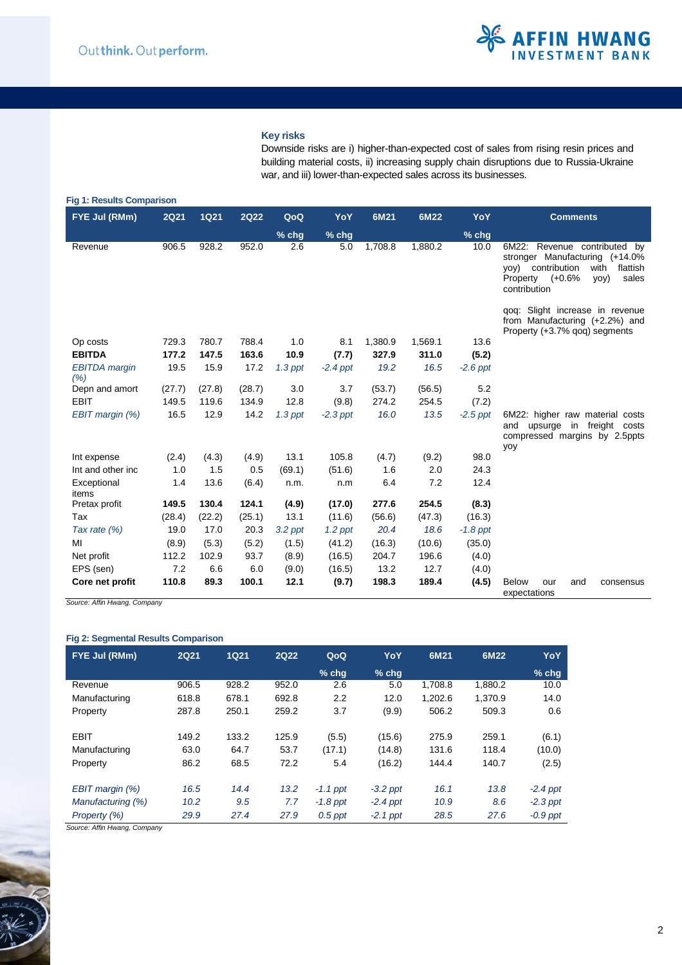### **Key risks**

Downside risks are i) higher-than-expected cost of sales from rising resin prices and building material costs, ii) increasing supply chain disruptions due to Russia-Ukraine war, and iii) lower-than-expected sales across its businesses.

| FYE Jul (RMm)                | <b>2Q21</b> | <b>1Q21</b> | <b>2Q22</b> | QoQ       | YoY        | 6M21    | 6M22    | YoY        | <b>Comments</b>                                                                                                                                              |
|------------------------------|-------------|-------------|-------------|-----------|------------|---------|---------|------------|--------------------------------------------------------------------------------------------------------------------------------------------------------------|
|                              |             |             |             | $%$ chg   | $%$ chg    |         |         | % chg      |                                                                                                                                                              |
| Revenue                      | 906.5       | 928.2       | 952.0       | 2.6       | 5.0        | 1,708.8 | 1,880.2 | 10.0       | 6M22: Revenue contributed by<br>stronger Manufacturing (+14.0%)<br>yoy) contribution<br>with<br>flattish<br>Property (+0.6%<br>yoy)<br>sales<br>contribution |
|                              |             |             |             |           |            |         |         |            | gog: Slight increase in revenue<br>from Manufacturing $(+2.2%)$ and<br>Property (+3.7% gog) segments                                                         |
| Op costs                     | 729.3       | 780.7       | 788.4       | 1.0       | 8.1        | 1,380.9 | 1,569.1 | 13.6       |                                                                                                                                                              |
| <b>EBITDA</b>                | 177.2       | 147.5       | 163.6       | 10.9      | (7.7)      | 327.9   | 311.0   | (5.2)      |                                                                                                                                                              |
| <b>EBITDA</b> margin<br>(% ) | 19.5        | 15.9        | 17.2        | $1.3$ ppt | $-2.4$ ppt | 19.2    | 16.5    | $-2.6$ ppt |                                                                                                                                                              |
| Depn and amort               | (27.7)      | (27.8)      | (28.7)      | 3.0       | 3.7        | (53.7)  | (56.5)  | 5.2        |                                                                                                                                                              |
| <b>EBIT</b>                  | 149.5       | 119.6       | 134.9       | 12.8      | (9.8)      | 274.2   | 254.5   | (7.2)      |                                                                                                                                                              |
| EBIT margin (%)              | 16.5        | 12.9        | 14.2        | $1.3$ ppt | $-2.3$ ppt | 16.0    | 13.5    | $-2.5$ ppt | 6M22: higher raw material costs<br>upsurge in freight costs<br>and<br>compressed margins by 2.5ppts<br>yoy                                                   |
| Int expense                  | (2.4)       | (4.3)       | (4.9)       | 13.1      | 105.8      | (4.7)   | (9.2)   | 98.0       |                                                                                                                                                              |
| Int and other inc            | 1.0         | 1.5         | 0.5         | (69.1)    | (51.6)     | 1.6     | 2.0     | 24.3       |                                                                                                                                                              |
| Exceptional<br>items         | 1.4         | 13.6        | (6.4)       | n.m.      | n.m        | 6.4     | 7.2     | 12.4       |                                                                                                                                                              |
| Pretax profit                | 149.5       | 130.4       | 124.1       | (4.9)     | (17.0)     | 277.6   | 254.5   | (8.3)      |                                                                                                                                                              |
| Tax                          | (28.4)      | (22.2)      | (25.1)      | 13.1      | (11.6)     | (56.6)  | (47.3)  | (16.3)     |                                                                                                                                                              |
| Tax rate $(\%)$              | 19.0        | 17.0        | 20.3        | $3.2$ ppt | $1.2$ ppt  | 20.4    | 18.6    | $-1.8$ ppt |                                                                                                                                                              |
| MI                           | (8.9)       | (5.3)       | (5.2)       | (1.5)     | (41.2)     | (16.3)  | (10.6)  | (35.0)     |                                                                                                                                                              |
| Net profit                   | 112.2       | 102.9       | 93.7        | (8.9)     | (16.5)     | 204.7   | 196.6   | (4.0)      |                                                                                                                                                              |
| EPS (sen)                    | 7.2         | 6.6         | 6.0         | (9.0)     | (16.5)     | 13.2    | 12.7    | (4.0)      |                                                                                                                                                              |
| Core net profit              | 110.8       | 89.3        | 100.1       | 12.1      | (9.7)      | 198.3   | 189.4   | (4.5)      | <b>Below</b><br>our<br>and<br>consensus<br>expectations                                                                                                      |

*Source: Affin Hwang, Company* 

## **Fig 2: Segmental Results Comparison**

| FYE Jul (RMm)      | <b>2Q21</b> | <b>1Q21</b> | <b>2Q22</b> | QoQ        | YoY        | 6M21    | 6M22    | <b>YoY</b> |
|--------------------|-------------|-------------|-------------|------------|------------|---------|---------|------------|
|                    |             |             |             | $%$ chq    | $%$ chq    |         |         | $%$ chg    |
| Revenue            | 906.5       | 928.2       | 952.0       | 2.6        | 5.0        | 1.708.8 | 1,880.2 | 10.0       |
| Manufacturing      | 618.8       | 678.1       | 692.8       | 2.2        | 12.0       | 1.202.6 | 1.370.9 | 14.0       |
| Property           | 287.8       | 250.1       | 259.2       | 3.7        | (9.9)      | 506.2   | 509.3   | 0.6        |
| <b>EBIT</b>        | 149.2       | 133.2       | 125.9       | (5.5)      | (15.6)     | 275.9   | 259.1   | (6.1)      |
| Manufacturing      | 63.0        | 64.7        | 53.7        | (17.1)     | (14.8)     | 131.6   | 118.4   | (10.0)     |
| Property           | 86.2        | 68.5        | 72.2        | 5.4        | (16.2)     | 144.4   | 140.7   | (2.5)      |
| EBIT margin $(\%)$ | 16.5        | 14.4        | 13.2        | $-1.1$ ppt | $-3.2$ ppt | 16.1    | 13.8    | $-2.4$ ppt |
| Manufacturing (%)  | 10.2        | 9.5         | 7.7         | $-1.8$ ppt | $-2.4$ ppt | 10.9    | 8.6     | $-2.3$ ppt |
| Property (%)       | 29.9        | 27.4        | 27.9        | $0.5$ ppt  | $-2.1$ ppt | 28.5    | 27.6    | $-0.9$ ppt |

*Source: Affin Hwang, Company*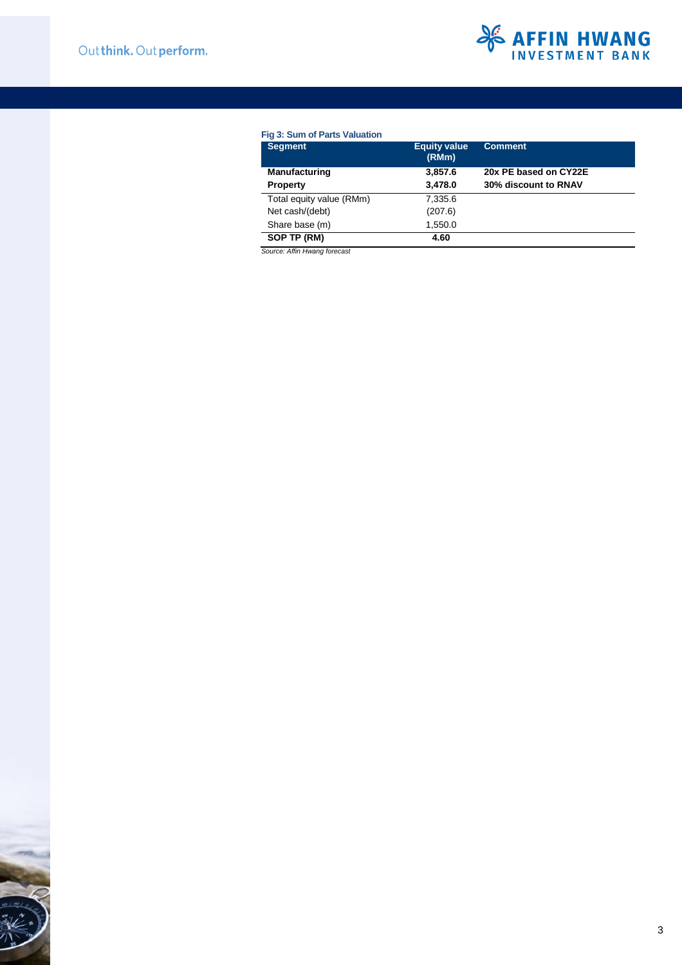

## **Fig 3: Sum of Parts Valuation**

| <b>Segment</b>           | <b>Equity value</b><br>(RMm) | <b>Comment</b>        |
|--------------------------|------------------------------|-----------------------|
| <b>Manufacturing</b>     | 3,857.6                      | 20x PE based on CY22E |
| <b>Property</b>          | 3,478.0                      | 30% discount to RNAV  |
| Total equity value (RMm) | 7,335.6                      |                       |
| Net cash/(debt)          | (207.6)                      |                       |
| Share base (m)           | 1,550.0                      |                       |
| SOP TP (RM)              | 4.60                         |                       |

*Source: Affin Hwang forecast*